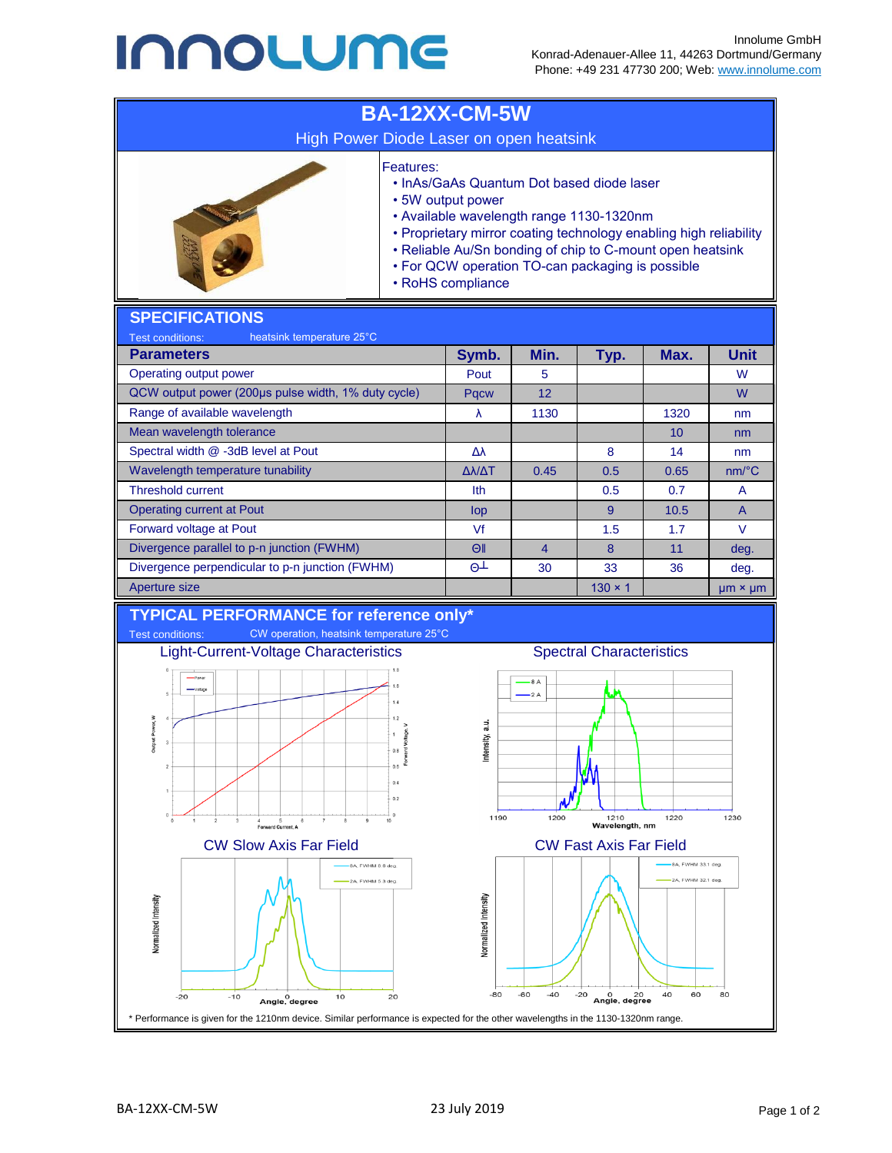## **INNOLUME**